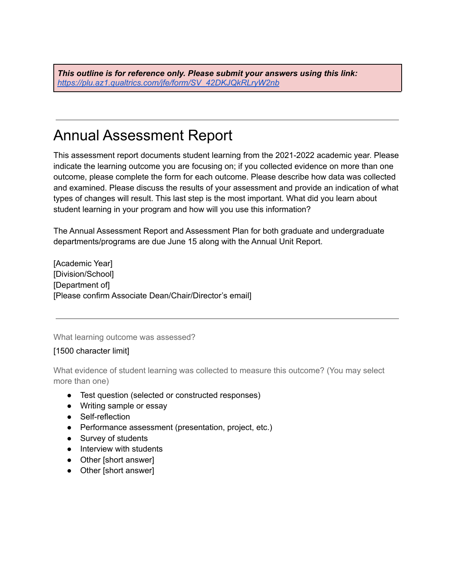*This outline is for reference only. Please submit your answers using this link: [https://plu.az1.qualtrics.com/jfe/form/SV\\_42DKJQkRLryW2nb](https://plu.az1.qualtrics.com/jfe/form/SV_42DKJQkRLryW2nb)*

# Annual Assessment Report

This assessment report documents student learning from the 2021-2022 academic year. Please indicate the learning outcome you are focusing on; if you collected evidence on more than one outcome, please complete the form for each outcome. Please describe how data was collected and examined. Please discuss the results of your assessment and provide an indication of what types of changes will result. This last step is the most important. What did you learn about student learning in your program and how will you use this information?

The Annual Assessment Report and Assessment Plan for both graduate and undergraduate departments/programs are due June 15 along with the Annual Unit Report.

[Academic Year] [Division/School] [Department of] [Please confirm Associate Dean/Chair/Director's email]

What learning outcome was assessed?

#### [1500 character limit]

What evidence of student learning was collected to measure this outcome? (You may select more than one)

- Test question (selected or constructed responses)
- Writing sample or essay
- Self-reflection
- Performance assessment (presentation, project, etc.)
- Survey of students
- Interview with students
- Other [short answer]
- Other [short answer]